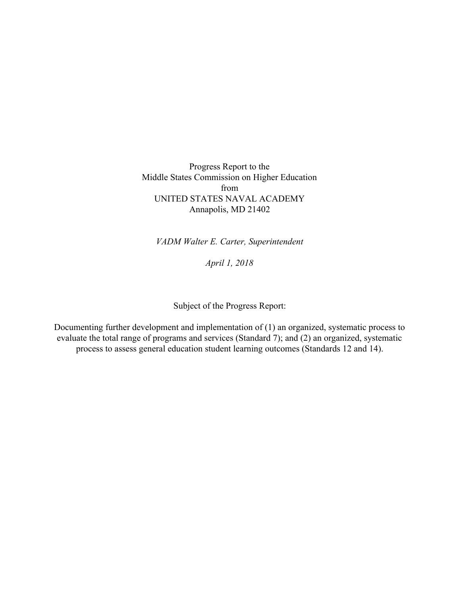Progress Report to the Middle States Commission on Higher Education from UNITED STATES NAVAL ACADEMY Annapolis, MD 21402

*VADM Walter E. Carter, Superintendent*

*April 1, 2018*

Subject of the Progress Report:

Documenting further development and implementation of (1) an organized, systematic process to evaluate the total range of programs and services (Standard 7); and (2) an organized, systematic process to assess general education student learning outcomes (Standards 12 and 14).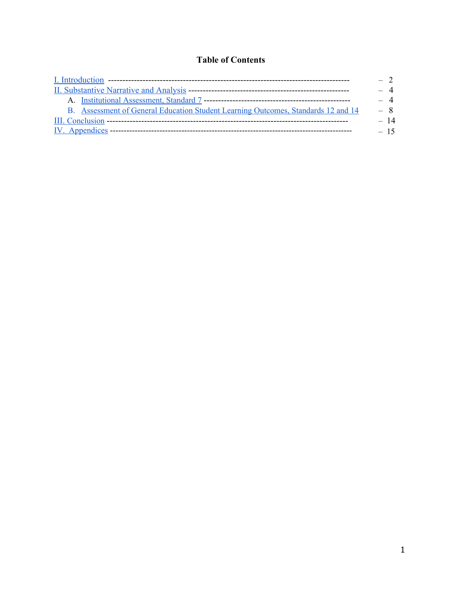## **Table of Contents**

|                                                                                   | $-2$  |
|-----------------------------------------------------------------------------------|-------|
|                                                                                   | $-4$  |
|                                                                                   | $-4$  |
| B. Assessment of General Education Student Learning Outcomes, Standards 12 and 14 | $-8$  |
|                                                                                   | - 14  |
|                                                                                   | $-15$ |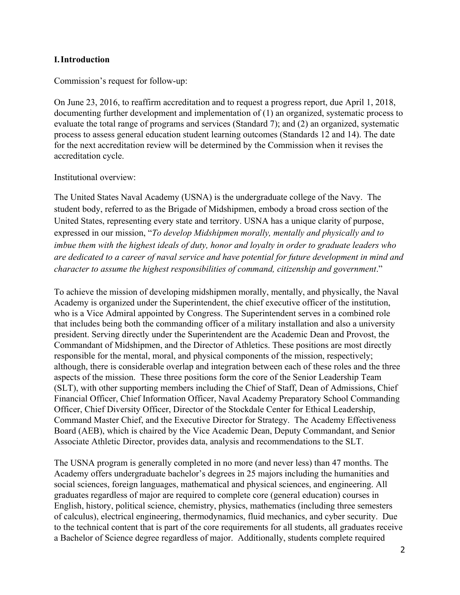#### <span id="page-2-0"></span>**I.Introduction**

Commission's request for follow-up:

On June 23, 2016, to reaffirm accreditation and to request a progress report, due April 1, 2018, documenting further development and implementation of (1) an organized, systematic process to evaluate the total range of programs and services (Standard 7); and (2) an organized, systematic process to assess general education student learning outcomes (Standards 12 and 14). The date for the next accreditation review will be determined by the Commission when it revises the accreditation cycle.

#### Institutional overview:

The United States Naval Academy (USNA) is the undergraduate college of the Navy. The student body, referred to as the Brigade of Midshipmen, embody a broad cross section of the United States, representing every state and territory. USNA has a unique clarity of purpose, expressed in our mission, "*To develop Midshipmen morally, mentally and physically and to imbue them with the highest ideals of duty, honor and loyalty in order to graduate leaders who are dedicated to a career of naval service and have potential for future development in mind and character to assume the highest responsibilities of command, citizenship and government*."

To achieve the mission of developing midshipmen morally, mentally, and physically, the Naval Academy is organized under the Superintendent, the chief executive officer of the institution, who is a Vice Admiral appointed by Congress. The Superintendent serves in a combined role that includes being both the commanding officer of a military installation and also a university president. Serving directly under the Superintendent are the Academic Dean and Provost, the Commandant of Midshipmen, and the Director of Athletics. These positions are most directly responsible for the mental, moral, and physical components of the mission, respectively; although, there is considerable overlap and integration between each of these roles and the three aspects of the mission. These three positions form the core of the Senior Leadership Team (SLT), with other supporting members including the Chief of Staff, Dean of Admissions, Chief Financial Officer, Chief Information Officer, Naval Academy Preparatory School Commanding Officer, Chief Diversity Officer, Director of the Stockdale Center for Ethical Leadership, Command Master Chief, and the Executive Director for Strategy. The Academy Effectiveness Board (AEB), which is chaired by the Vice Academic Dean, Deputy Commandant, and Senior Associate Athletic Director, provides data, analysis and recommendations to the SLT.

The USNA program is generally completed in no more (and never less) than 47 months. The Academy offers undergraduate bachelor's degrees in 25 majors including the humanities and social sciences, foreign languages, mathematical and physical sciences, and engineering. All graduates regardless of major are required to complete core (general education) courses in English, history, political science, chemistry, physics, mathematics (including three semesters of calculus), electrical engineering, thermodynamics, fluid mechanics, and cyber security. Due to the technical content that is part of the core requirements for all students, all graduates receive a Bachelor of Science degree regardless of major. Additionally, students complete required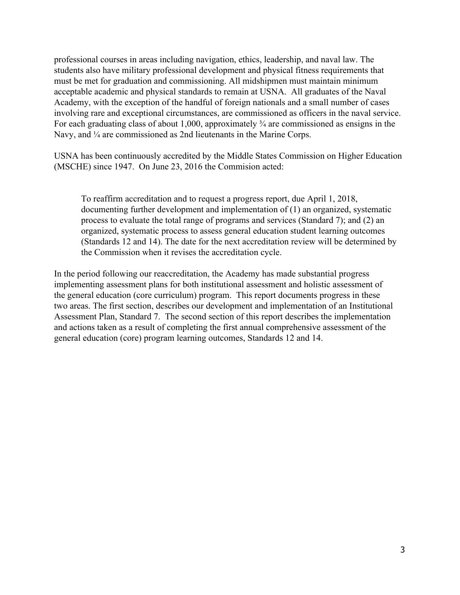professional courses in areas including navigation, ethics, leadership, and naval law. The students also have military professional development and physical fitness requirements that must be met for graduation and commissioning. All midshipmen must maintain minimum acceptable academic and physical standards to remain at USNA. All graduates of the Naval Academy, with the exception of the handful of foreign nationals and a small number of cases involving rare and exceptional circumstances, are commissioned as officers in the naval service. For each graduating class of about 1,000, approximately  $\frac{3}{4}$  are commissioned as ensigns in the Navy, and  $\frac{1}{4}$  are commissioned as 2nd lieutenants in the Marine Corps.

USNA has been continuously accredited by the Middle States Commission on Higher Education (MSCHE) since 1947. On June 23, 2016 the Commision acted:

To reaffirm accreditation and to request a progress report, due April 1, 2018, documenting further development and implementation of (1) an organized, systematic process to evaluate the total range of programs and services (Standard 7); and (2) an organized, systematic process to assess general education student learning outcomes (Standards 12 and 14). The date for the next accreditation review will be determined by the Commission when it revises the accreditation cycle.

In the period following our reaccreditation, the Academy has made substantial progress implementing assessment plans for both institutional assessment and holistic assessment of the general education (core curriculum) program. This report documents progress in these two areas. The first section, describes our development and implementation of an Institutional Assessment Plan, Standard 7. The second section of this report describes the implementation and actions taken as a result of completing the first annual comprehensive assessment of the general education (core) program learning outcomes, Standards 12 and 14.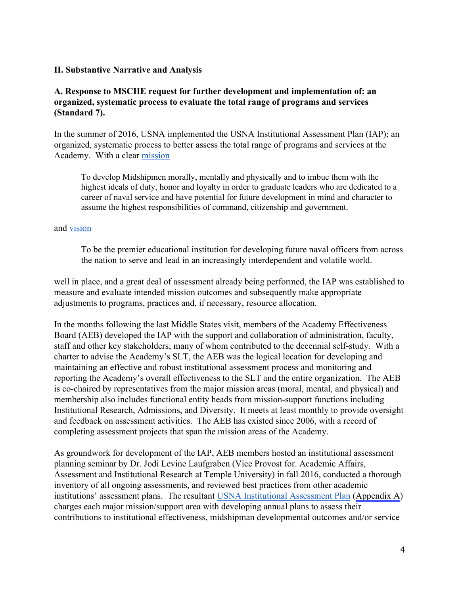#### <span id="page-4-0"></span>**II. Substantive Narrative and Analysis**

### <span id="page-4-1"></span>**A. Response to MSCHE request for further development and implementation of: an organized, systematic process to evaluate the total range of programs and services (Standard 7).**

In the summer of 2016, USNA implemented the USNA Institutional Assessment Plan (IAP); an organized, systematic process to better assess the total range of programs and services at the Academy. With a clear [mission](https://www.usna.edu/About/mission.php) 

To develop Midshipmen morally, mentally and physically and to imbue them with the highest ideals of duty, honor and loyalty in order to graduate leaders who are dedicated to a career of naval service and have potential for future development in mind and character to assume the highest responsibilities of command, citizenship and government.

#### and [vision](https://www.usna.edu/StrategicPlan/index.php)

To be the premier educational institution for developing future naval officers from across the nation to serve and lead in an increasingly interdependent and volatile world.

well in place, and a great deal of assessment already being performed, the IAP was established to measure and evaluate intended mission outcomes and subsequently make appropriate adjustments to programs, practices and, if necessary, resource allocation.

In the months following the last Middle States visit, members of the Academy Effectiveness Board (AEB) developed the IAP with the support and collaboration of administration, faculty, staff and other key stakeholders; many of whom contributed to the decennial self-study. With a charter to advise the Academy's SLT, the AEB was the logical location for developing and maintaining an effective and robust institutional assessment process and monitoring and reporting the Academy's overall effectiveness to the SLT and the entire organization. The AEB is co-chaired by representatives from the major mission areas (moral, mental, and physical) and membership also includes functional entity heads from mission-support functions including Institutional Research, Admissions, and Diversity. It meets at least monthly to provide oversight and feedback on assessment activities. The AEB has existed since 2006, with a record of completing assessment projects that span the mission areas of the Academy.

As groundwork for development of the IAP, AEB members hosted an institutional assessment planning seminar by Dr. Jodi Levine Laufgraben (Vice Provost for. Academic Affairs, Assessment and Institutional Research at Temple University) in fall 2016, conducted a thorough inventory of all ongoing assessments, and reviewed best practices from other academic institutions' assessment plans. The resultant [USNA Institutional Assessment Plan](https://www.usna.edu/StrategicPlan/_files/docs/USNA-Institutional-Assessment-Plan.pdf) (Appendix A) charges each major mission/support area with developing annual plans to assess their contributions to institutional effectiveness, midshipman developmental outcomes and/or service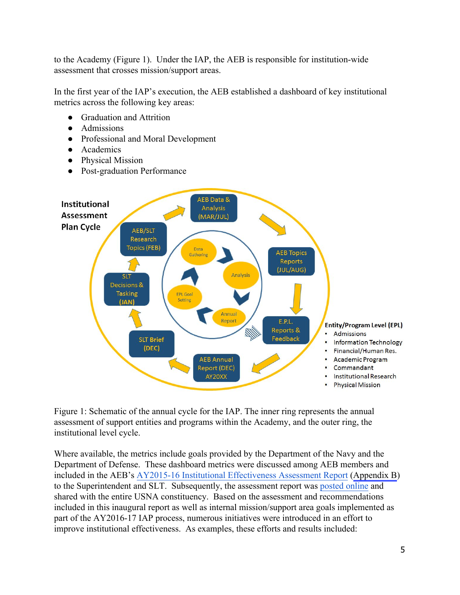to the Academy (Figure 1). Under the IAP, the AEB is responsible for institution-wide assessment that crosses mission/support areas.

In the first year of the IAP's execution, the AEB established a dashboard of key institutional metrics across the following key areas:

- Graduation and Attrition
- Admissions
- Professional and Moral Development
- Academics
- Physical Mission
- Post-graduation Performance



Figure 1: Schematic of the annual cycle for the IAP. The inner ring represents the annual assessment of support entities and programs within the Academy, and the outer ring, the institutional level cycle.

Where available, the metrics include goals provided by the Department of the Navy and the Department of Defense. These dashboard metrics were discussed among AEB members and included in the AEB's [AY2015-16 Institutional Effectiveness Assessment Report](https://www.usna.edu/StrategicPlan/_files/docs/AY2015-16-AEB-Institutional-Effectiveness-Assessment-Report.pdf) (Appendix B) to the Superintendent and SLT. Subsequently, the assessment report was [posted online](https://www.usna.edu/StrategicPlan/institutional-assessment.php) and shared with the entire USNA constituency. Based on the assessment and recommendations included in this inaugural report as well as internal mission/support area goals implemented as part of the AY2016-17 IAP process, numerous initiatives were introduced in an effort to improve institutional effectiveness. As examples, these efforts and results included: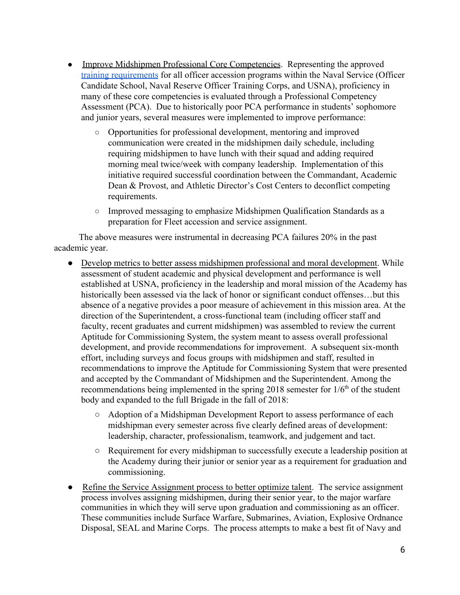- Improve Midshipmen Professional Core Competencies. Representing the approved [training requirements](https://www.usna.edu/Training/_files/documents/References/Cascade/2015%20PCC%20Manual%20FINAL%20Version.pdf) for all officer accession programs within the Naval Service (Officer Candidate School, Naval Reserve Officer Training Corps, and USNA), proficiency in many of these core competencies is evaluated through a Professional Competency Assessment (PCA). Due to historically poor PCA performance in students' sophomore and junior years, several measures were implemented to improve performance:
	- Opportunities for professional development, mentoring and improved communication were created in the midshipmen daily schedule, including requiring midshipmen to have lunch with their squad and adding required morning meal twice/week with company leadership. Implementation of this initiative required successful coordination between the Commandant, Academic Dean & Provost, and Athletic Director's Cost Centers to deconflict competing requirements.
	- Improved messaging to emphasize Midshipmen Qualification Standards as a preparation for Fleet accession and service assignment.

 The above measures were instrumental in decreasing PCA failures 20% in the past academic year.

- Develop metrics to better assess midshipmen professional and moral development. While assessment of student academic and physical development and performance is well established at USNA, proficiency in the leadership and moral mission of the Academy has historically been assessed via the lack of honor or significant conduct offenses…but this absence of a negative provides a poor measure of achievement in this mission area. At the direction of the Superintendent, a cross-functional team (including officer staff and faculty, recent graduates and current midshipmen) was assembled to review the current Aptitude for Commissioning System, the system meant to assess overall professional development, and provide recommendations for improvement. A subsequent six-month effort, including surveys and focus groups with midshipmen and staff, resulted in recommendations to improve the Aptitude for Commissioning System that were presented and accepted by the Commandant of Midshipmen and the Superintendent. Among the recommendations being implemented in the spring  $2018$  semester for  $1/6<sup>th</sup>$  of the student body and expanded to the full Brigade in the fall of 2018:
	- Adoption of a Midshipman Development Report to assess performance of each midshipman every semester across five clearly defined areas of development: leadership, character, professionalism, teamwork, and judgement and tact.
	- Requirement for every midshipman to successfully execute a leadership position at the Academy during their junior or senior year as a requirement for graduation and commissioning.
- Refine the Service Assignment process to better optimize talent. The service assignment process involves assigning midshipmen, during their senior year, to the major warfare communities in which they will serve upon graduation and commissioning as an officer. These communities include Surface Warfare, Submarines, Aviation, Explosive Ordnance Disposal, SEAL and Marine Corps. The process attempts to make a best fit of Navy and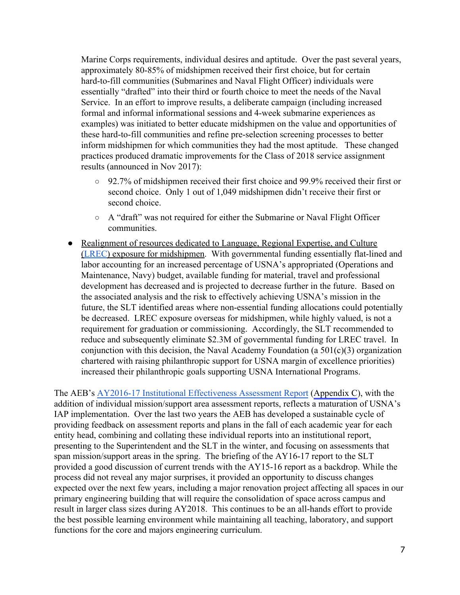Marine Corps requirements, individual desires and aptitude. Over the past several years, approximately 80-85% of midshipmen received their first choice, but for certain hard-to-fill communities (Submarines and Naval Flight Officer) individuals were essentially "drafted" into their third or fourth choice to meet the needs of the Naval Service. In an effort to improve results, a deliberate campaign (including increased formal and informal informational sessions and 4-week submarine experiences as examples) was initiated to better educate midshipmen on the value and opportunities of these hard-to-fill communities and refine pre-selection screening processes to better inform midshipmen for which communities they had the most aptitude. These changed practices produced dramatic improvements for the Class of 2018 service assignment results (announced in Nov 2017):

- 92.7% of midshipmen received their first choice and 99.9% received their first or second choice. Only 1 out of 1,049 midshipmen didn't receive their first or second choice.
- A "draft" was not required for either the Submarine or Naval Flight Officer communities.
- Realignment of resources dedicated to Language, Regional Expertise, and Culture ([LREC](https://www.usna.edu/InternationalProgram/programs.php)) exposure for midshipmen. With governmental funding essentially flat-lined and labor accounting for an increased percentage of USNA's appropriated (Operations and Maintenance, Navy) budget, available funding for material, travel and professional development has decreased and is projected to decrease further in the future. Based on the associated analysis and the risk to effectively achieving USNA's mission in the future, the SLT identified areas where non-essential funding allocations could potentially be decreased. LREC exposure overseas for midshipmen, while highly valued, is not a requirement for graduation or commissioning. Accordingly, the SLT recommended to reduce and subsequently eliminate \$2.3M of governmental funding for LREC travel. In conjunction with this decision, the Naval Academy Foundation (a  $501(c)(3)$  organization chartered with raising philanthropic support for USNA margin of excellence priorities) increased their philanthropic goals supporting USNA International Programs.

The AEB's [AY2016-17 Institutional Effectiveness Assessment Report](https://www.usna.edu/StrategicPlan/_files/docs/AEB-AY16-17-Institutional-Effectiveness-Assessment-Report.pdf) (Appendix C), with the addition of individual mission/support area assessment reports, reflects a maturation of USNA's IAP implementation. Over the last two years the AEB has developed a sustainable cycle of providing feedback on assessment reports and plans in the fall of each academic year for each entity head, combining and collating these individual reports into an institutional report, presenting to the Superintendent and the SLT in the winter, and focusing on assessments that span mission/support areas in the spring. The briefing of the AY16-17 report to the SLT provided a good discussion of current trends with the AY15-16 report as a backdrop. While the process did not reveal any major surprises, it provided an opportunity to discuss changes expected over the next few years, including a major renovation project affecting all spaces in our primary engineering building that will require the consolidation of space across campus and result in larger class sizes during AY2018. This continues to be an all-hands effort to provide the best possible learning environment while maintaining all teaching, laboratory, and support functions for the core and majors engineering curriculum.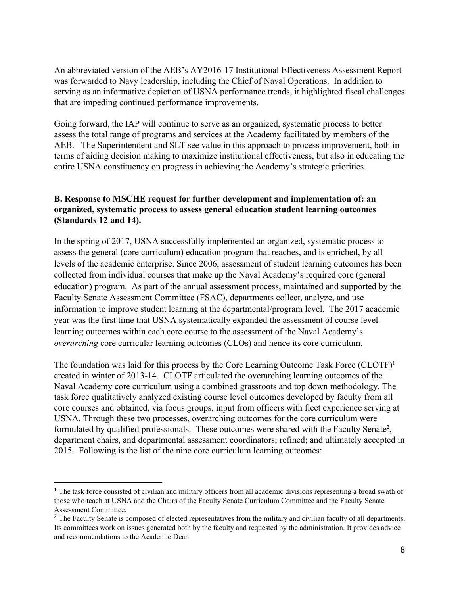An abbreviated version of the AEB's AY2016-17 Institutional Effectiveness Assessment Report was forwarded to Navy leadership, including the Chief of Naval Operations. In addition to serving as an informative depiction of USNA performance trends, it highlighted fiscal challenges that are impeding continued performance improvements.

Going forward, the IAP will continue to serve as an organized, systematic process to better assess the total range of programs and services at the Academy facilitated by members of the AEB. The Superintendent and SLT see value in this approach to process improvement, both in terms of aiding decision making to maximize institutional effectiveness, but also in educating the entire USNA constituency on progress in achieving the Academy's strategic priorities.

### <span id="page-8-0"></span>**B. Response to MSCHE request for further development and implementation of: an organized, systematic process to assess general education student learning outcomes (Standards 12 and 14).**

In the spring of 2017, USNA successfully implemented an organized, systematic process to assess the general (core curriculum) education program that reaches, and is enriched, by all levels of the academic enterprise. Since 2006, assessment of student learning outcomes has been collected from individual courses that make up the Naval Academy's required core (general education) program. As part of the annual assessment process, maintained and supported by the Faculty Senate Assessment Committee (FSAC), departments collect, analyze, and use information to improve student learning at the departmental/program level. The 2017 academic year was the first time that USNA systematically expanded the assessment of course level learning outcomes within each core course to the assessment of the Naval Academy's *overarching* core curricular learning outcomes (CLOs) and hence its core curriculum.

The foundation was laid for this process by the Core Learning Outcome Task Force  $(CLOTF)^1$ created in winter of 2013-14. CLOTF articulated the overarching learning outcomes of the Naval Academy core curriculum using a combined grassroots and top down methodology. The task force qualitatively analyzed existing course level outcomes developed by faculty from all core courses and obtained, via focus groups, input from officers with fleet experience serving at USNA. Through these two processes, overarching outcomes for the core curriculum were formulated by qualified professionals. These outcomes were shared with the Faculty Senate<sup>2</sup>, department chairs, and departmental assessment coordinators; refined; and ultimately accepted in 2015. Following is the list of the nine core curriculum learning outcomes:

<sup>&</sup>lt;sup>1</sup> The task force consisted of civilian and military officers from all academic divisions representing a broad swath of those who teach at USNA and the Chairs of the Faculty Senate Curriculum Committee and the Faculty Senate Assessment Committee.

<sup>&</sup>lt;sup>2</sup> The Faculty Senate is composed of elected representatives from the military and civilian faculty of all departments. Its committees work on issues generated both by the faculty and requested by the administration. It provides advice and recommendations to the Academic Dean.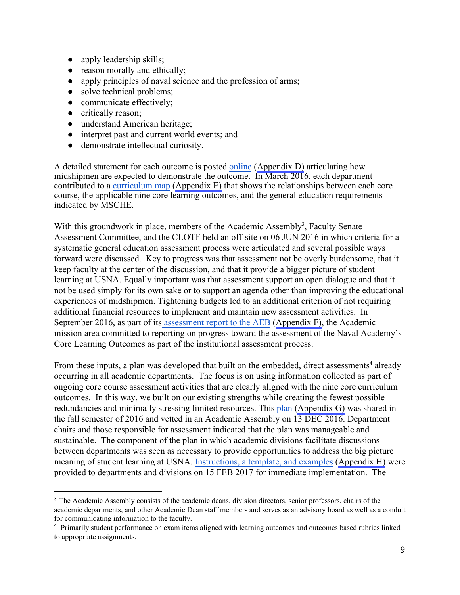- apply leadership skills;
- reason morally and ethically;
- apply principles of naval science and the profession of arms;
- solve technical problems;
- communicate effectively;
- critically reason;
- understand American heritage;
- interpret past and current world events; and
- demonstrate intellectual curiosity.

A detailed statement for each outcome is posted [online](https://www.usna.edu/Academics/_files/documents/assessment/CLOsandPreamble%20F%20EB%202015.pdf) (Appendix D) articulating how midshipmen are expected to demonstrate the outcome. In March 2016, each department contributed to a [curriculum map](https://www.usna.edu/Academics/_files/documents/assessment/USNA%20Core%20Cur%20riculum%20Map.pdf) (Appendix E) that shows the relationships between each core course, the applicable nine core learning outcomes, and the general education requirements indicated by MSCHE.

With this groundwork in place, members of the Academic Assembly<sup>3</sup>, Faculty Senate Assessment Committee, and the CLOTF held an off-site on 06 JUN 2016 in which criteria for a systematic general education assessment process were articulated and several possible ways forward were discussed. Key to progress was that assessment not be overly burdensome, that it keep faculty at the center of the discussion, and that it provide a bigger picture of student learning at USNA. Equally important was that assessment support an open dialogue and that it not be used simply for its own sake or to support an agenda other than improving the educational experiences of midshipmen. Tightening budgets led to an additional criterion of not requiring additional financial resources to implement and maintain new assessment activities. In September 2016, as part of it[s assessment report to the AEB](https://www.usna.edu/Academics/Academic-Dean/Assessment/AEB.php) (Appendix F), the Academic mission area committed to reporting on progress toward the assessment of the Naval Academy's Core Learning Outcomes as part of the institutional assessment process.

From these inputs, a plan was developed that built on the embedded, direct assessments<sup>4</sup> already occurring in all academic departments. The focus is on using information collected as part of ongoing core course assessment activities that are clearly aligned with the nine core curriculum outcomes. In this way, we built on our existing strengths while creating the fewest possible redundancies and minimally stressing limited resources. This [plan](https://www.usna.edu/Academics/_files/documents/talks/AcAssemblyDec2016.pdf) (Appendix G) was shared in the fall semester of 2016 and vetted in an Academic Assembly on 13 DEC 2016. Department chairs and those responsible for assessment indicated that the plan was manageable and sustainable. The component of the plan in which academic divisions facilitate discussions between departments was seen as necessary to provide opportunities to address the big picture meaning of student learning at USNA. [Instructions, a template, and examples](https://www.usna.edu/Academics/Academic-Dean/Assessment/index.php) (Appendix H) were provided to departments and divisions on 15 FEB 2017 for immediate implementation. The

<sup>&</sup>lt;sup>3</sup> The Academic Assembly consists of the academic deans, division directors, senior professors, chairs of the academic departments, and other Academic Dean staff members and serves as an advisory board as well as a conduit for communicating information to the faculty.

<sup>&</sup>lt;sup>4</sup> Primarily student performance on exam items aligned with learning outcomes and outcomes based rubrics linked to appropriate assignments.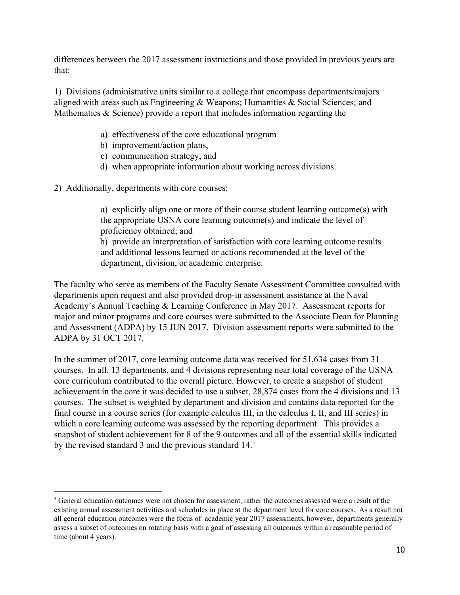differences between the 2017 assessment instructions and those provided in previous years are that:

1) Divisions (administrative units similar to a college that encompass departments/majors aligned with areas such as Engineering & Weapons; Humanities & Social Sciences; and Mathematics  $&$  Science) provide a report that includes information regarding the

- a) effectiveness of the core educational program
- b) improvement/action plans,
- c) communication strategy, and
- d) when appropriate information about working across divisions.

2) Additionally, departments with core courses:

a) explicitly align one or more of their course student learning outcome(s) with the appropriate USNA core learning outcome(s) and indicate the level of proficiency obtained; and

b) provide an interpretation of satisfaction with core learning outcome results and additional lessons learned or actions recommended at the level of the department, division, or academic enterprise.

The faculty who serve as members of the Faculty Senate Assessment Committee consulted with departments upon request and also provided drop-in assessment assistance at the Naval Academy's Annual Teaching & Learning Conference in May 2017. Assessment reports for major and minor programs and core courses were submitted to the Associate Dean for Planning and Assessment (ADPA) by 15 JUN 2017. Division assessment reports were submitted to the ADPA by 31 OCT 2017.

In the summer of 2017, core learning outcome data was received for 51,634 cases from 31 courses. In all, 13 departments, and 4 divisions representing near total coverage of the USNA core curriculum contributed to the overall picture. However, to create a snapshot of student achievement in the core it was decided to use a subset, 28,874 cases from the 4 divisions and 13 courses. The subset is weighted by department and division and contains data reported for the final course in a course series (for example calculus III, in the calculus I, II, and III series) in which a core learning outcome was assessed by the reporting department. This provides a snapshot of student achievement for 8 of the 9 outcomes and all of the essential skills indicated by the revised standard 3 and the previous standard 14.<sup>5</sup>

<sup>&</sup>lt;sup>5</sup> General education outcomes were not chosen for assessment, rather the outcomes assessed were a result of the existing annual assessment activities and schedules in place at the department level for core courses. As a result not all general education outcomes were the focus of academic year 2017 assessments, however, departments generally assess a subset of outcomes on rotating basis with a goal of assessing all outcomes within a reasonable period of time (about 4 years).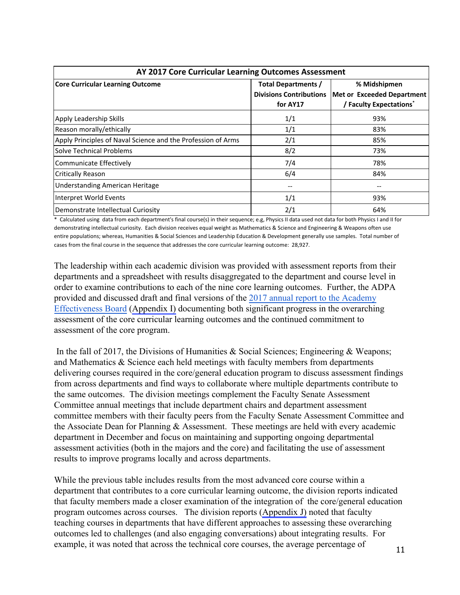| AY 2017 Core Curricular Learning Outcomes Assessment         |                                |                                     |  |  |
|--------------------------------------------------------------|--------------------------------|-------------------------------------|--|--|
| <b>Core Curricular Learning Outcome</b>                      | <b>Total Departments /</b>     | % Midshipmen                        |  |  |
|                                                              | <b>Divisions Contributions</b> | <b>Met or Exceeded Department</b>   |  |  |
|                                                              | for AY17                       | / Faculty Expectations <sup>*</sup> |  |  |
| Apply Leadership Skills                                      | 1/1                            | 93%                                 |  |  |
| Reason morally/ethically                                     | 1/1                            | 83%                                 |  |  |
| Apply Principles of Naval Science and the Profession of Arms | 2/1                            | 85%                                 |  |  |
| <b>Solve Technical Problems</b>                              | 8/2                            | 73%                                 |  |  |
| Communicate Effectively                                      | 7/4                            | 78%                                 |  |  |
| <b>Critically Reason</b>                                     | 6/4                            | 84%                                 |  |  |
| Understanding American Heritage                              |                                |                                     |  |  |
| Interpret World Events                                       | 1/1                            | 93%                                 |  |  |
| Demonstrate Intellectual Curiosity                           | 2/1                            | 64%                                 |  |  |

\* Calculated using data from each department's final course(s) in their sequence; e.g, Physics II data used not data for both Physics I and II for demonstrating intellectual curiosity. Each division receives equal weight as Mathematics & Science and Engineering & Weapons often use entire populations; whereas, Humanities & Social Sciences and Leadership Education & Development generally use samples. Total number of cases from the final course in the sequence that addresses the core curricular learning outcome: 28,927.

The leadership within each academic division was provided with assessment reports from their departments and a spreadsheet with results disaggregated to the department and course level in order to examine contributions to each of the nine core learning outcomes. Further, the ADPA provided and discussed draft and final versions of the [2017 annual report to the Academy](https://www.usna.edu/Academics/Academic-Dean/Assessment/AEB.php) [Effectiveness Board](https://www.usna.edu/Academics/Academic-Dean/Assessment/AEB.php) (Appendix I) documenting both significant progress in the overarching assessment of the core curricular learning outcomes and the continued commitment to assessment of the core program.

In the fall of 2017, the Divisions of Humanities & Social Sciences; Engineering & Weapons; and Mathematics & Science each held meetings with faculty members from departments delivering courses required in the core/general education program to discuss assessment findings from across departments and find ways to collaborate where multiple departments contribute to the same outcomes. The division meetings complement the Faculty Senate Assessment Committee annual meetings that include department chairs and department assessment committee members with their faculty peers from the Faculty Senate Assessment Committee and the Associate Dean for Planning & Assessment. These meetings are held with every academic department in December and focus on maintaining and supporting ongoing departmental assessment activities (both in the majors and the core) and facilitating the use of assessment results to improve programs locally and across departments.

While the previous table includes results from the most advanced core course within a department that contributes to a core curricular learning outcome, the division reports indicated that faculty members made a closer examination of the integration of the core/general education program outcomes across courses. The division reports (Appendix J) noted that faculty teaching courses in departments that have different approaches to assessing these overarching outcomes led to challenges (and also engaging conversations) about integrating results. For example, it was noted that across the technical core courses, the average percentage of 11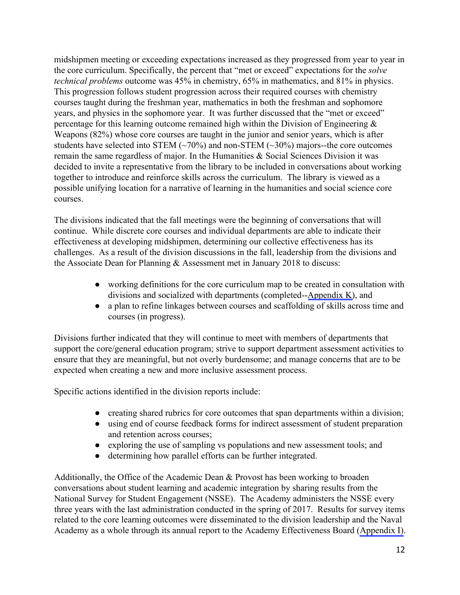midshipmen meeting or exceeding expectations increased as they progressed from year to year in the core curriculum. Specifically, the percent that "met or exceed" expectations for the *solve technical problems* outcome was 45% in chemistry, 65% in mathematics, and 81% in physics. This progression follows student progression across their required courses with chemistry courses taught during the freshman year, mathematics in both the freshman and sophomore years, and physics in the sophomore year. It was further discussed that the "met or exceed" percentage for this learning outcome remained high within the Division of Engineering  $\&$ Weapons (82%) whose core courses are taught in the junior and senior years, which is after students have selected into STEM  $(\sim 70\%)$  and non-STEM  $(\sim 30\%)$  majors--the core outcomes remain the same regardless of major. In the Humanities & Social Sciences Division it was decided to invite a representative from the library to be included in conversations about working together to introduce and reinforce skills across the curriculum. The library is viewed as a possible unifying location for a narrative of learning in the humanities and social science core courses.

The divisions indicated that the fall meetings were the beginning of conversations that will continue. While discrete core courses and individual departments are able to indicate their effectiveness at developing midshipmen, determining our collective effectiveness has its challenges. As a result of the division discussions in the fall, leadership from the divisions and the Associate Dean for Planning & Assessment met in January 2018 to discuss:

- working definitions for the core curriculum map to be created in consultation with divisions and socialized with departments (completed--Appendix K), and
- a plan to refine linkages between courses and scaffolding of skills across time and courses (in progress).

Divisions further indicated that they will continue to meet with members of departments that support the core/general education program; strive to support department assessment activities to ensure that they are meaningful, but not overly burdensome; and manage concerns that are to be expected when creating a new and more inclusive assessment process.

Specific actions identified in the division reports include:

- creating shared rubrics for core outcomes that span departments within a division;
- using end of course feedback forms for indirect assessment of student preparation and retention across courses;
- exploring the use of sampling vs populations and new assessment tools; and
- determining how parallel efforts can be further integrated.

Additionally, the Office of the Academic Dean  $\&$  Provost has been working to broaden conversations about student learning and academic integration by sharing results from the National Survey for Student Engagement (NSSE). The Academy administers the NSSE every three years with the last administration conducted in the spring of 2017. Results for survey items related to the core learning outcomes were disseminated to the division leadership and the Naval Academy as a whole through its annual report to the Academy Effectiveness Board (Appendix I).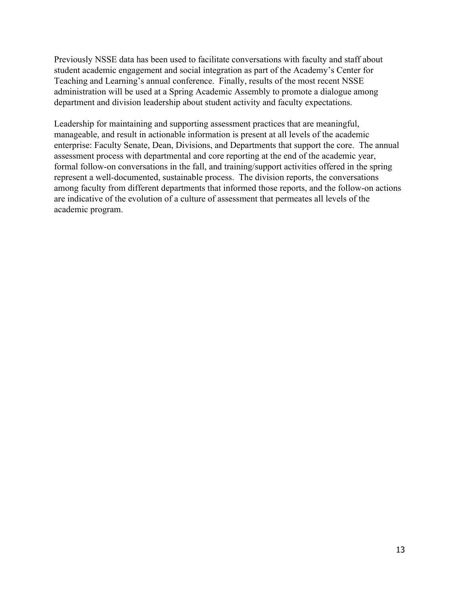Previously NSSE data has been used to facilitate conversations with faculty and staff about student academic engagement and social integration as part of the Academy's Center for Teaching and Learning's annual conference. Finally, results of the most recent NSSE administration will be used at a Spring Academic Assembly to promote a dialogue among department and division leadership about student activity and faculty expectations.

Leadership for maintaining and supporting assessment practices that are meaningful, manageable, and result in actionable information is present at all levels of the academic enterprise: Faculty Senate, Dean, Divisions, and Departments that support the core. The annual assessment process with departmental and core reporting at the end of the academic year, formal follow-on conversations in the fall, and training/support activities offered in the spring represent a well-documented, sustainable process. The division reports, the conversations among faculty from different departments that informed those reports, and the follow-on actions are indicative of the evolution of a culture of assessment that permeates all levels of the academic program.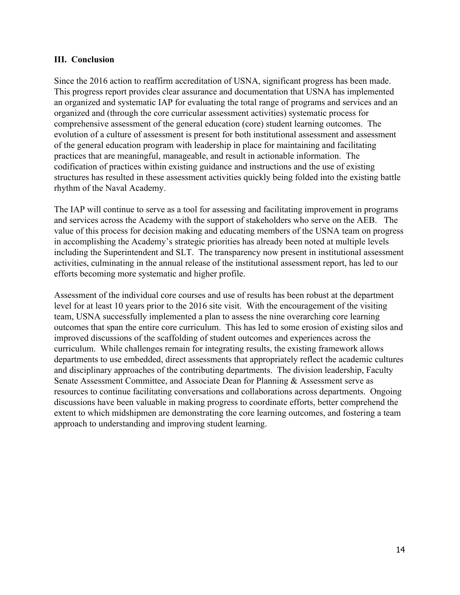#### <span id="page-14-0"></span>**III. Conclusion**

Since the 2016 action to reaffirm accreditation of USNA, significant progress has been made. This progress report provides clear assurance and documentation that USNA has implemented an organized and systematic IAP for evaluating the total range of programs and services and an organized and (through the core curricular assessment activities) systematic process for comprehensive assessment of the general education (core) student learning outcomes. The evolution of a culture of assessment is present for both institutional assessment and assessment of the general education program with leadership in place for maintaining and facilitating practices that are meaningful, manageable, and result in actionable information. The codification of practices within existing guidance and instructions and the use of existing structures has resulted in these assessment activities quickly being folded into the existing battle rhythm of the Naval Academy.

The IAP will continue to serve as a tool for assessing and facilitating improvement in programs and services across the Academy with the support of stakeholders who serve on the AEB. The value of this process for decision making and educating members of the USNA team on progress in accomplishing the Academy's strategic priorities has already been noted at multiple levels including the Superintendent and SLT. The transparency now present in institutional assessment activities, culminating in the annual release of the institutional assessment report, has led to our efforts becoming more systematic and higher profile.

Assessment of the individual core courses and use of results has been robust at the department level for at least 10 years prior to the 2016 site visit. With the encouragement of the visiting team, USNA successfully implemented a plan to assess the nine overarching core learning outcomes that span the entire core curriculum. This has led to some erosion of existing silos and improved discussions of the scaffolding of student outcomes and experiences across the curriculum. While challenges remain for integrating results, the existing framework allows departments to use embedded, direct assessments that appropriately reflect the academic cultures and disciplinary approaches of the contributing departments. The division leadership, Faculty Senate Assessment Committee, and Associate Dean for Planning & Assessment serve as resources to continue facilitating conversations and collaborations across departments. Ongoing discussions have been valuable in making progress to coordinate efforts, better comprehend the extent to which midshipmen are demonstrating the core learning outcomes, and fostering a team approach to understanding and improving student learning.